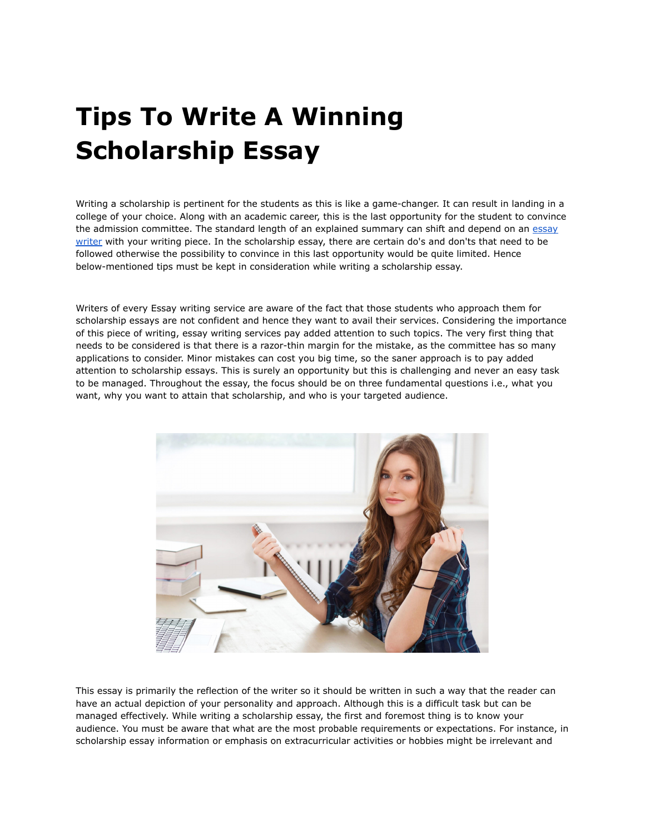## **Tips To Write A Winning Scholarship Essay**

Writing a scholarship is pertinent for the students as this is like a game-changer. It can result in landing in a college of your choice. Along with an academic career, this is the last opportunity for the student to convince the admission committee. The standard length of an explained summary can shift and depend on an [essay](https://essaywriternow.com/) [writer](https://essaywriternow.com/) with your writing piece. In the scholarship essay, there are certain do's and don'ts that need to be followed otherwise the possibility to convince in this last opportunity would be quite limited. Hence below-mentioned tips must be kept in consideration while writing a scholarship essay.

Writers of every Essay writing service are aware of the fact that those students who approach them for scholarship essays are not confident and hence they want to avail their services. Considering the importance of this piece of writing, essay writing services pay added attention to such topics. The very first thing that needs to be considered is that there is a razor-thin margin for the mistake, as the committee has so many applications to consider. Minor mistakes can cost you big time, so the saner approach is to pay added attention to scholarship essays. This is surely an opportunity but this is challenging and never an easy task to be managed. Throughout the essay, the focus should be on three fundamental questions i.e., what you want, why you want to attain that scholarship, and who is your targeted audience.



This essay is primarily the reflection of the writer so it should be written in such a way that the reader can have an actual depiction of your personality and approach. Although this is a difficult task but can be managed effectively. While writing a scholarship essay, the first and foremost thing is to know your audience. You must be aware that what are the most probable requirements or expectations. For instance, in scholarship essay information or emphasis on extracurricular activities or hobbies might be irrelevant and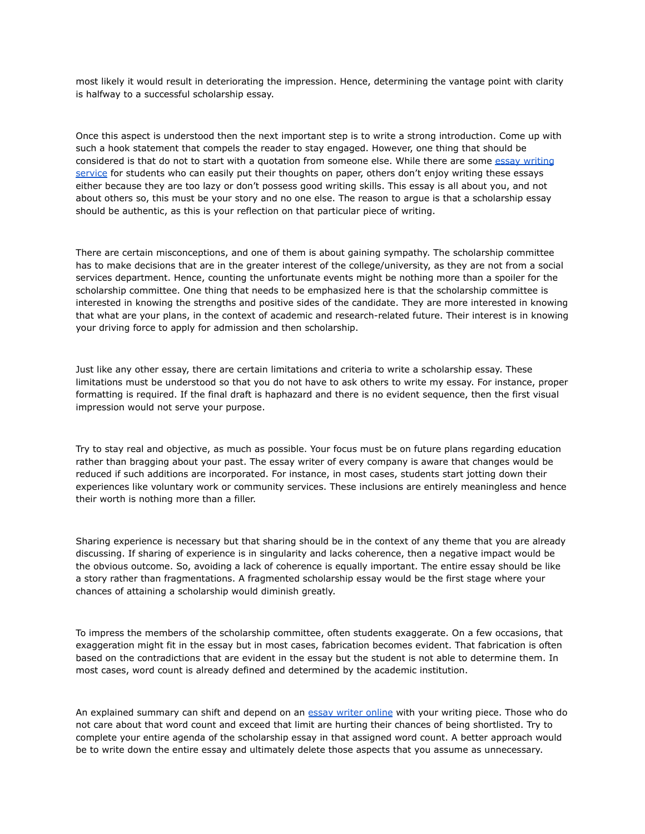most likely it would result in deteriorating the impression. Hence, determining the vantage point with clarity is halfway to a successful scholarship essay.

Once this aspect is understood then the next important step is to write a strong introduction. Come up with such a hook statement that compels the reader to stay engaged. However, one thing that should be considered is that do not to start with a quotation from someone else. While there are some essay [writing](https://theessaywritingservice.com/) [service](https://theessaywritingservice.com/) for students who can easily put their thoughts on paper, others don't enjoy writing these essays either because they are too lazy or don't possess good writing skills. This essay is all about you, and not about others so, this must be your story and no one else. The reason to argue is that a scholarship essay should be authentic, as this is your reflection on that particular piece of writing.

There are certain misconceptions, and one of them is about gaining sympathy. The scholarship committee has to make decisions that are in the greater interest of the college/university, as they are not from a social services department. Hence, counting the unfortunate events might be nothing more than a spoiler for the scholarship committee. One thing that needs to be emphasized here is that the scholarship committee is interested in knowing the strengths and positive sides of the candidate. They are more interested in knowing that what are your plans, in the context of academic and research-related future. Their interest is in knowing your driving force to apply for admission and then scholarship.

Just like any other essay, there are certain limitations and criteria to write a scholarship essay. These limitations must be understood so that you do not have to ask others to write my essay. For instance, proper formatting is required. If the final draft is haphazard and there is no evident sequence, then the first visual impression would not serve your purpose.

Try to stay real and objective, as much as possible. Your focus must be on future plans regarding education rather than bragging about your past. The essay writer of every company is aware that changes would be reduced if such additions are incorporated. For instance, in most cases, students start jotting down their experiences like voluntary work or community services. These inclusions are entirely meaningless and hence their worth is nothing more than a filler.

Sharing experience is necessary but that sharing should be in the context of any theme that you are already discussing. If sharing of experience is in singularity and lacks coherence, then a negative impact would be the obvious outcome. So, avoiding a lack of coherence is equally important. The entire essay should be like a story rather than fragmentations. A fragmented scholarship essay would be the first stage where your chances of attaining a scholarship would diminish greatly.

To impress the members of the scholarship committee, often students exaggerate. On a few occasions, that exaggeration might fit in the essay but in most cases, fabrication becomes evident. That fabrication is often based on the contradictions that are evident in the essay but the student is not able to determine them. In most cases, word count is already defined and determined by the academic institution.

An explained summary can shift and depend on an essay writer [online](https://youressaywriter.net/) with your writing piece. Those who do not care about that word count and exceed that limit are hurting their chances of being shortlisted. Try to complete your entire agenda of the scholarship essay in that assigned word count. A better approach would be to write down the entire essay and ultimately delete those aspects that you assume as unnecessary.